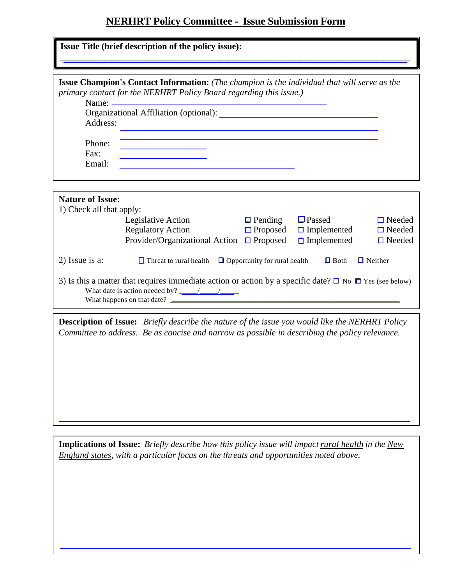## **NERHRT Policy Committee - Issue Submission Form**

|                          | <b>Issue Champion's Contact Information:</b> (The champion is the individual that will serve as the<br>primary contact for the NERHRT Policy Board regarding this issue.) |                 |                    |                |
|--------------------------|---------------------------------------------------------------------------------------------------------------------------------------------------------------------------|-----------------|--------------------|----------------|
|                          |                                                                                                                                                                           |                 |                    |                |
|                          |                                                                                                                                                                           |                 |                    |                |
| Address:                 |                                                                                                                                                                           |                 |                    |                |
| Phone:                   |                                                                                                                                                                           |                 |                    |                |
| Fax:                     | <u> 1980 - Johann Barbara, martxa a</u>                                                                                                                                   |                 |                    |                |
| Email:                   | <u> 1989 - Johann Barn, mars ann an t-Amhain</u>                                                                                                                          |                 |                    |                |
|                          |                                                                                                                                                                           |                 |                    |                |
|                          |                                                                                                                                                                           |                 |                    |                |
| <b>Nature of Issue:</b>  |                                                                                                                                                                           |                 |                    |                |
| 1) Check all that apply: |                                                                                                                                                                           |                 |                    |                |
|                          | Legislative Action                                                                                                                                                        | $\Box$ Pending  | $\Box$ Passed      | $\Box$ Needed  |
|                          | <b>Regulatory Action</b>                                                                                                                                                  | $\Box$ Proposed | $\Box$ Implemented | $\Box$ Needed  |
|                          | Provider/Organizational Action $\Box$ Proposed                                                                                                                            |                 | $\Box$ Implemented | $\Box$ Needed  |
| 2) Issue is a:           | $\Box$ Threat to rural health $\Box$ Opportunity for rural health                                                                                                         |                 | $\Box$ Both        | $\Box$ Neither |
|                          | 3) Is this a matter that requires immediate action or action by a specific date? $\Box$ No $\Box$ Yes (see below)                                                         |                 |                    |                |
|                          |                                                                                                                                                                           |                 |                    |                |
|                          |                                                                                                                                                                           |                 |                    |                |

**Implications of Issue:** *Briefly describe how this policy issue will impact rural health in the New England states, with a particular focus on the threats and opportunities noted above.*